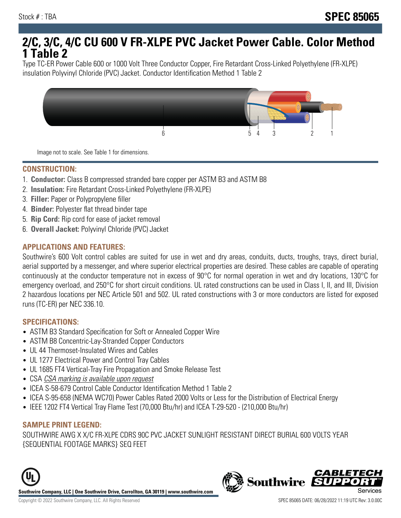# **2/C, 3/C, 4/C CU 600 V FR-XLPE PVC Jacket Power Cable. Color Method 1 Table 2**

Type TC-ER Power Cable 600 or 1000 Volt Three Conductor Copper, Fire Retardant Cross-Linked Polyethylene (FR-XLPE) insulation Polyvinyl Chloride (PVC) Jacket. Conductor Identification Method 1 Table 2



Image not to scale. See Table 1 for dimensions.

#### **CONSTRUCTION:**

- 1. **Conductor:** Class B compressed stranded bare copper per ASTM B3 and ASTM B8
- 2. **Insulation:** Fire Retardant Cross-Linked Polyethylene (FR-XLPE)
- 3. **Filler:** Paper or Polypropylene filler
- 4. **Binder:** Polyester flat thread binder tape
- 5. **Rip Cord:** Rip cord for ease of jacket removal
- 6. **Overall Jacket:** Polyvinyl Chloride (PVC) Jacket

## **APPLICATIONS AND FEATURES:**

Southwire's 600 Volt control cables are suited for use in wet and dry areas, conduits, ducts, troughs, trays, direct burial, aerial supported by a messenger, and where superior electrical properties are desired. These cables are capable of operating continuously at the conductor temperature not in excess of 90°C for normal operation in wet and dry locations, 130°C for emergency overload, and 250°C for short circuit conditions. UL rated constructions can be used in Class I, II, and III, Division 2 hazardous locations per NEC Article 501 and 502. UL rated constructions with 3 or more conductors are listed for exposed runs (TC-ER) per NEC 336.10.

#### **SPECIFICATIONS:**

- ASTM B3 Standard Specification for Soft or Annealed Copper Wire
- ASTM B8 Concentric-Lay-Stranded Copper Conductors
- UL 44 Thermoset-Insulated Wires and Cables
- UL 1277 Electrical Power and Control Tray Cables
- UL 1685 FT4 Vertical-Tray Fire Propagation and Smoke Release Test
- CSA CSA marking is available upon request
- ICEA S-58-679 Control Cable Conductor Identification Method 1 Table 2
- ICEA S-95-658 (NEMA WC70) Power Cables Rated 2000 Volts or Less for the Distribution of Electrical Energy
- IEEE 1202 FT4 Vertical Tray Flame Test (70,000 Btu/hr) and ICEA T-29-520 (210,000 Btu/hr)

#### **SAMPLE PRINT LEGEND:**

SOUTHWIRE AWG X X/C FR-XLPE CDRS 90C PVC JACKET SUNLIGHT RESISTANT DIRECT BURIAL 600 VOLTS YEAR {SEQUENTIAL FOOTAGE MARKS} SEQ FEET